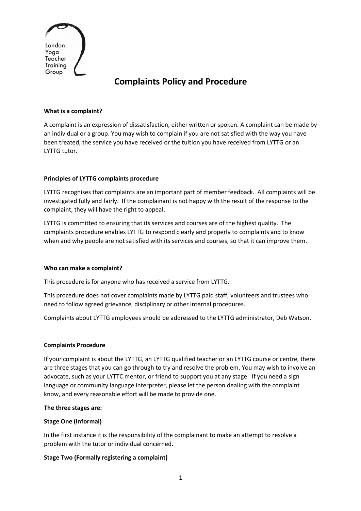London Yoga Teacher **Training** Group

# **Complaints Policy and Procedure**

### **What is a complaint?**

A complaint is an expression of dissatisfaction, either written or spoken. A complaint can be made by an individual or a group. You may wish to complain if you are not satisfied with the way you have been treated, the service you have received or the tuition you have received from LYTTG or an LYTTG tutor.

## **Principles of LYTTG complaints procedure**

LYTTG recognises that complaints are an important part of member feedback. All complaints will be investigated fully and fairly. If the complainant is not happy with the result of the response to the complaint, they will have the right to appeal.

LYTTG is committed to ensuring that its services and courses are of the highest quality. The complaints procedure enables LYTTG to respond clearly and properly to complaints and to know when and why people are not satisfied with its services and courses, so that it can improve them.

#### **Who can make a complaint?**

This procedure is for anyone who has received a service from LYTTG.

This procedure does not cover complaints made by LYTTG paid staff, volunteers and trustees who need to follow agreed grievance, disciplinary or other internal procedures.

Complaints about LYTTG employees should be addressed to the LYTTG administrator, Deb Watson.

## **Complaints Procedure**

If your complaint is about the LYTTG, an LYTTG qualified teacher or an LYTTG course or centre, there are three stages that you can go through to try and resolve the problem. You may wish to involve an advocate, such as your LYTTC mentor, or friend to support you at any stage. If you need a sign language or community language interpreter, please let the person dealing with the complaint know, and every reasonable effort will be made to provide one.

#### **The three stages are:**

#### **Stage One (Informal)**

In the first instance it is the responsibility of the complainant to make an attempt to resolve a problem with the tutor or individual concerned.

#### **Stage Two (Formally registering a complaint)**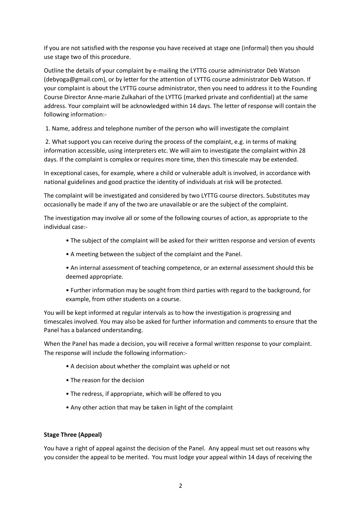If you are not satisfied with the response you have received at stage one (informal) then you should use stage two of this procedure.

Outline the details of your complaint by e-mailing the LYTTG course administrator Deb Watson (debyoga@gmail.com), or by letter for the attention of LYTTG course administrator Deb Watson. If your complaint is about the LYTTG course administrator, then you need to address it to the Founding Course Director Anne-marie Zulkahari of the LYTTG (marked private and confidential) at the same address. Your complaint will be acknowledged within 14 days. The letter of response will contain the following information:-

1. Name, address and telephone number of the person who will investigate the complaint

2. What support you can receive during the process of the complaint, e.g. in terms of making information accessible, using interpreters etc. We will aim to investigate the complaint within 28 days. If the complaint is complex or requires more time, then this timescale may be extended.

In exceptional cases, for example, where a child or vulnerable adult is involved, in accordance with national guidelines and good practice the identity of individuals at risk will be protected.

The complaint will be investigated and considered by two LYTTG course directors. Substitutes may occasionally be made if any of the two are unavailable or are the subject of the complaint.

The investigation may involve all or some of the following courses of action, as appropriate to the individual case:-

- The subject of the complaint will be asked for their written response and version of events
- A meeting between the subject of the complaint and the Panel.
- An internal assessment of teaching competence, or an external assessment should this be deemed appropriate.
- Further information may be sought from third parties with regard to the background, for example, from other students on a course.

You will be kept informed at regular intervals as to how the investigation is progressing and timescales involved. You may also be asked for further information and comments to ensure that the Panel has a balanced understanding.

When the Panel has made a decision, you will receive a formal written response to your complaint. The response will include the following information:-

- A decision about whether the complaint was upheld or not
- The reason for the decision
- The redress, if appropriate, which will be offered to you
- Any other action that may be taken in light of the complaint

## **Stage Three (Appeal)**

You have a right of appeal against the decision of the Panel. Any appeal must set out reasons why you consider the appeal to be merited. You must lodge your appeal within 14 days of receiving the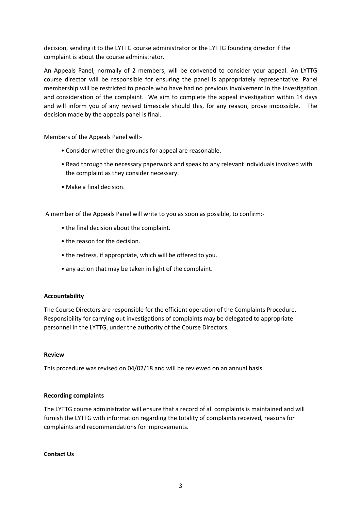decision, sending it to the LYTTG course administrator or the LYTTG founding director if the complaint is about the course administrator.

An Appeals Panel, normally of 2 members, will be convened to consider your appeal. An LYTTG course director will be responsible for ensuring the panel is appropriately representative. Panel membership will be restricted to people who have had no previous involvement in the investigation and consideration of the complaint. We aim to complete the appeal investigation within 14 days and will inform you of any revised timescale should this, for any reason, prove impossible. The decision made by the appeals panel is final.

Members of the Appeals Panel will:-

- Consider whether the grounds for appeal are reasonable.
- Read through the necessary paperwork and speak to any relevant individuals involved with the complaint as they consider necessary.
- Make a final decision.

A member of the Appeals Panel will write to you as soon as possible, to confirm:-

- the final decision about the complaint.
- the reason for the decision.
- the redress, if appropriate, which will be offered to you.
- any action that may be taken in light of the complaint.

#### **Accountability**

The Course Directors are responsible for the efficient operation of the Complaints Procedure. Responsibility for carrying out investigations of complaints may be delegated to appropriate personnel in the LYTTG, under the authority of the Course Directors.

#### **Review**

This procedure was revised on 04/02/18 and will be reviewed on an annual basis.

#### **Recording complaints**

The LYTTG course administrator will ensure that a record of all complaints is maintained and will furnish the LYTTG with information regarding the totality of complaints received, reasons for complaints and recommendations for improvements.

**Contact Us**